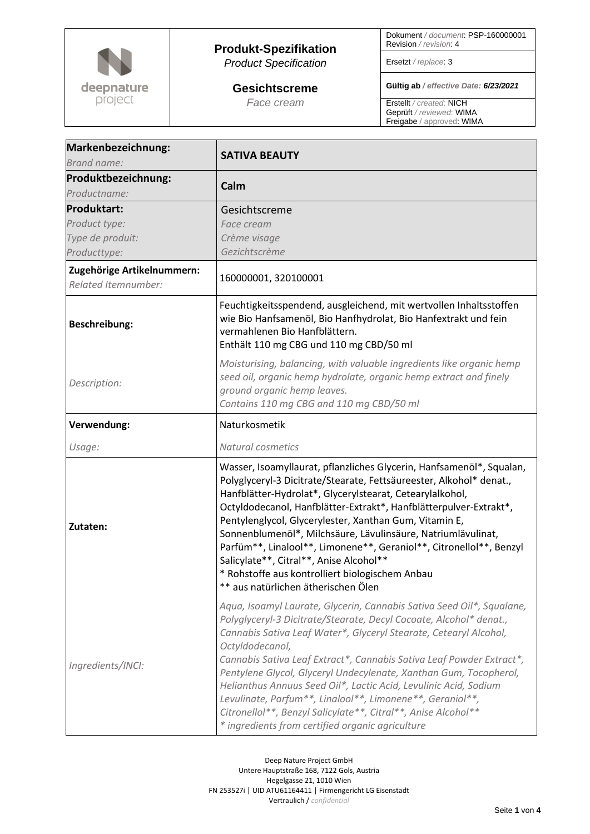

## **Produkt-Spezifikation** *Product Specification*

**Gesichtscreme** *Face cream*

Dokument */ document*: PSP-160000001 Revision */ revision*: 4

Ersetzt */ replace*: 3

**Gültig ab** */ effective Date: 6/23/2021*

Erstellt */ created*: NICH Geprüft */ reviewed*: WIMA Freigabe / approved: WIMA

| Markenbezeichnung:<br>Brand name:                 | <b>SATIVA BEAUTY</b>                                                                                                                                                                                                                                                                                                                                                                                                                                                                                                                                                                                                                   |
|---------------------------------------------------|----------------------------------------------------------------------------------------------------------------------------------------------------------------------------------------------------------------------------------------------------------------------------------------------------------------------------------------------------------------------------------------------------------------------------------------------------------------------------------------------------------------------------------------------------------------------------------------------------------------------------------------|
| Produktbezeichnung:<br>Productname:               | Calm                                                                                                                                                                                                                                                                                                                                                                                                                                                                                                                                                                                                                                   |
| <b>Produktart:</b>                                | Gesichtscreme                                                                                                                                                                                                                                                                                                                                                                                                                                                                                                                                                                                                                          |
| Product type:                                     | Face cream                                                                                                                                                                                                                                                                                                                                                                                                                                                                                                                                                                                                                             |
| Type de produit:                                  | Crème visage                                                                                                                                                                                                                                                                                                                                                                                                                                                                                                                                                                                                                           |
| Producttype:                                      | Gezichtscrème                                                                                                                                                                                                                                                                                                                                                                                                                                                                                                                                                                                                                          |
| Zugehörige Artikelnummern:<br>Related Itemnumber: | 160000001, 320100001                                                                                                                                                                                                                                                                                                                                                                                                                                                                                                                                                                                                                   |
| <b>Beschreibung:</b>                              | Feuchtigkeitsspendend, ausgleichend, mit wertvollen Inhaltsstoffen<br>wie Bio Hanfsamenöl, Bio Hanfhydrolat, Bio Hanfextrakt und fein<br>vermahlenen Bio Hanfblättern.<br>Enthält 110 mg CBG und 110 mg CBD/50 ml                                                                                                                                                                                                                                                                                                                                                                                                                      |
| Description:                                      | Moisturising, balancing, with valuable ingredients like organic hemp<br>seed oil, organic hemp hydrolate, organic hemp extract and finely<br>ground organic hemp leaves.<br>Contains 110 mg CBG and 110 mg CBD/50 ml                                                                                                                                                                                                                                                                                                                                                                                                                   |
| Verwendung:                                       | Naturkosmetik                                                                                                                                                                                                                                                                                                                                                                                                                                                                                                                                                                                                                          |
| Usage:                                            | Natural cosmetics                                                                                                                                                                                                                                                                                                                                                                                                                                                                                                                                                                                                                      |
| Zutaten:                                          | Wasser, Isoamyllaurat, pflanzliches Glycerin, Hanfsamenöl*, Squalan,<br>Polyglyceryl-3 Dicitrate/Stearate, Fettsäureester, Alkohol* denat.,<br>Hanfblätter-Hydrolat*, Glycerylstearat, Cetearylalkohol,<br>Octyldodecanol, Hanfblätter-Extrakt*, Hanfblätterpulver-Extrakt*,<br>Pentylenglycol, Glycerylester, Xanthan Gum, Vitamin E,<br>Sonnenblumenöl*, Milchsäure, Lävulinsäure, Natriumlävulinat,<br>Parfüm**, Linalool**, Limonene**, Geraniol**, Citronellol**, Benzyl<br>Salicylate**, Citral**, Anise Alcohol**<br>* Rohstoffe aus kontrolliert biologischem Anbau<br>** aus natürlichen ätherischen Ölen                     |
| Ingredients/INCI:                                 | Aqua, Isoamyl Laurate, Glycerin, Cannabis Sativa Seed Oil*, Squalane,<br>Polyglyceryl-3 Dicitrate/Stearate, Decyl Cocoate, Alcohol* denat.,<br>Cannabis Sativa Leaf Water*, Glyceryl Stearate, Cetearyl Alcohol,<br>Octyldodecanol,<br>Cannabis Sativa Leaf Extract*, Cannabis Sativa Leaf Powder Extract*,<br>Pentylene Glycol, Glyceryl Undecylenate, Xanthan Gum, Tocopherol,<br>Helianthus Annuus Seed Oil*, Lactic Acid, Levulinic Acid, Sodium<br>Levulinate, Parfum**, Linalool**, Limonene**, Geraniol**,<br>Citronellol**, Benzyl Salicylate**, Citral**, Anise Alcohol**<br>* ingredients from certified organic agriculture |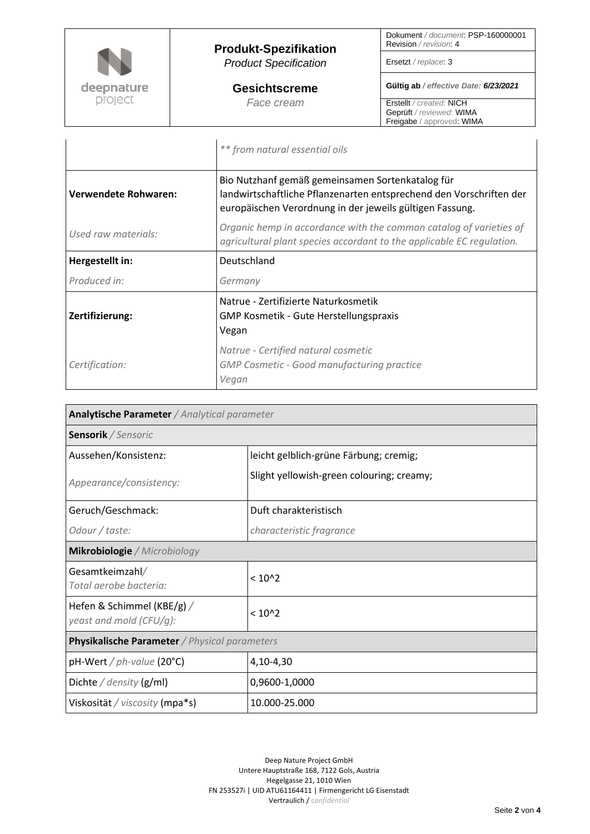

|                      | ** from natural essential oils                                                                                                                                                      |
|----------------------|-------------------------------------------------------------------------------------------------------------------------------------------------------------------------------------|
| Verwendete Rohwaren: | Bio Nutzhanf gemäß gemeinsamen Sortenkatalog für<br>landwirtschaftliche Pflanzenarten entsprechend den Vorschriften der<br>europäischen Verordnung in der jeweils gültigen Fassung. |
| Used raw materials:  | Organic hemp in accordance with the common catalog of varieties of<br>agricultural plant species accordant to the applicable EC regulation.                                         |
| Hergestellt in:      | Deutschland                                                                                                                                                                         |
| Produced in:         | Germany                                                                                                                                                                             |
| Zertifizierung:      | Natrue - Zertifizierte Naturkosmetik<br>GMP Kosmetik - Gute Herstellungspraxis<br>Vegan                                                                                             |
| Certification:       | Natrue - Certified natural cosmetic<br><b>GMP Cosmetic - Good manufacturing practice</b><br>Vegan                                                                                   |

| Analytische Parameter / Analytical parameter<br>Sensorik / Sensoric |                                           |  |
|---------------------------------------------------------------------|-------------------------------------------|--|
|                                                                     |                                           |  |
| Appearance/consistency:                                             | Slight yellowish-green colouring; creamy; |  |
| Geruch/Geschmack:                                                   | Duft charakteristisch                     |  |
| Odour / taste:                                                      | characteristic fragrance                  |  |
| Mikrobiologie / Microbiology                                        |                                           |  |
| Gesamtkeimzahl/<br>Total aerobe bacteria:                           | $< 10^{2}$                                |  |
| Hefen & Schimmel (KBE/g) /<br>yeast and mold (CFU/g):               | $< 10^{2}$                                |  |
| <b>Physikalische Parameter</b> / Physical parameters                |                                           |  |
| $pH-Wert / ph-value (20°C)$                                         | 4,10-4,30                                 |  |
| Dichte / density $(g/ml)$                                           | 0,9600-1,0000                             |  |
| Viskosität / viscosity (mpa*s)                                      | 10.000-25.000                             |  |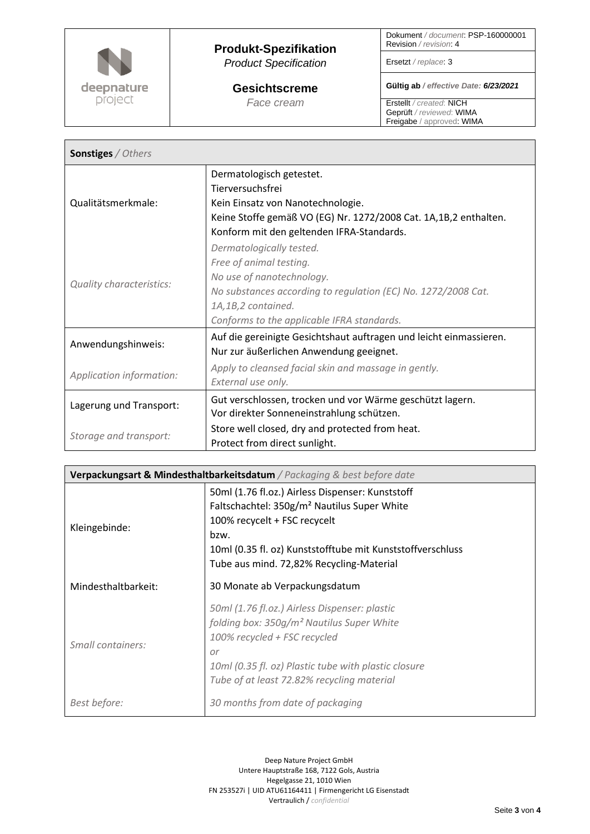

Г

## **Produkt-Spezifikation** *Product Specification*

**Gesichtscreme** *Face cream*

Dokument */ document*: PSP-160000001 Revision */ revision*: 4

Ersetzt */ replace*: 3

**Gültig ab** */ effective Date: 6/23/2021*

 $\overline{\phantom{a}}$ 

Erstellt */ created*: NICH Geprüft */ reviewed*: WIMA Freigabe / approved: WIMA

| <b>Sonstiges / Others</b>       |                                                                                                                                                                                                                       |  |
|---------------------------------|-----------------------------------------------------------------------------------------------------------------------------------------------------------------------------------------------------------------------|--|
| Qualitätsmerkmale:              | Dermatologisch getestet.<br>Tierversuchsfrei<br>Kein Einsatz von Nanotechnologie.<br>Keine Stoffe gemäß VO (EG) Nr. 1272/2008 Cat. 1A,1B,2 enthalten.<br>Konform mit den geltenden IFRA-Standards.                    |  |
| <b>Quality characteristics:</b> | Dermatologically tested.<br>Free of animal testing.<br>No use of nanotechnology.<br>No substances according to regulation (EC) No. 1272/2008 Cat.<br>1A,1B,2 contained.<br>Conforms to the applicable IFRA standards. |  |
| Anwendungshinweis:              | Auf die gereinigte Gesichtshaut auftragen und leicht einmassieren.<br>Nur zur äußerlichen Anwendung geeignet.                                                                                                         |  |
| Application information:        | Apply to cleansed facial skin and massage in gently.<br>External use only.                                                                                                                                            |  |
| Lagerung und Transport:         | Gut verschlossen, trocken und vor Wärme geschützt lagern.<br>Vor direkter Sonneneinstrahlung schützen.                                                                                                                |  |
| Storage and transport:          | Store well closed, dry and protected from heat.<br>Protect from direct sunlight.                                                                                                                                      |  |

| Verpackungsart & Mindesthaltbarkeitsdatum / Packaging & best before date |                                                                                                                                                                                                                                                               |  |
|--------------------------------------------------------------------------|---------------------------------------------------------------------------------------------------------------------------------------------------------------------------------------------------------------------------------------------------------------|--|
| Kleingebinde:                                                            | 50ml (1.76 fl.oz.) Airless Dispenser: Kunststoff<br>Faltschachtel: 350g/m <sup>2</sup> Nautilus Super White<br>100% recycelt + FSC recycelt<br>bzw.<br>10ml (0.35 fl. oz) Kunststofftube mit Kunststoffverschluss<br>Tube aus mind. 72,82% Recycling-Material |  |
| Mindesthaltbarkeit:                                                      | 30 Monate ab Verpackungsdatum                                                                                                                                                                                                                                 |  |
| Small containers:                                                        | 50ml (1.76 fl.oz.) Airless Dispenser: plastic<br>folding box: 350g/m <sup>2</sup> Nautilus Super White<br>100% recycled + FSC recycled<br>$\alpha$ r<br>10ml (0.35 fl. oz) Plastic tube with plastic closure<br>Tube of at least 72.82% recycling material    |  |
| Best before:                                                             | 30 months from date of packaging                                                                                                                                                                                                                              |  |